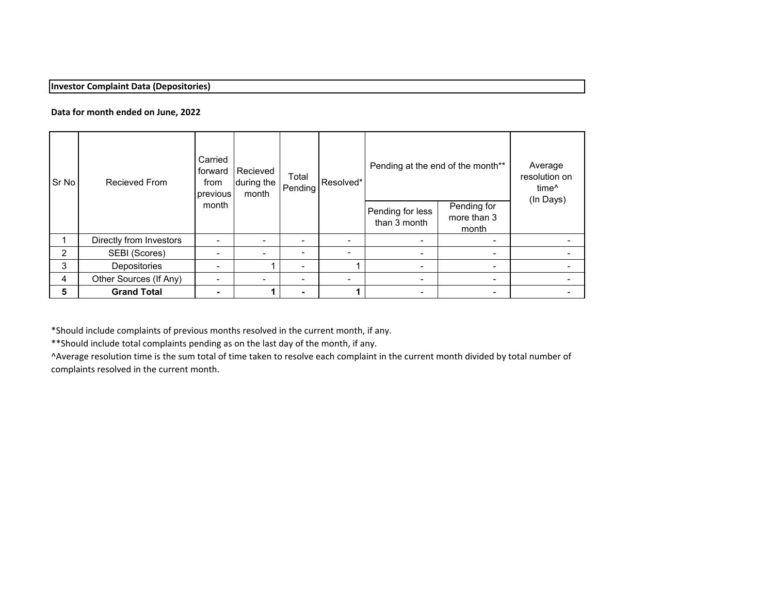## **Investor Complaint Data (Depositories)**

### **Data for month ended on June, 2022**

| Sr No | Recieved From           | Carried<br>forward<br>from<br>previous<br>month | Recieved<br>during the<br>month | Total<br>Pending         | Resolved* | Pending at the end of the month** |                                     | Average<br>resolution on<br>time <sup>^</sup><br>(In Days) |
|-------|-------------------------|-------------------------------------------------|---------------------------------|--------------------------|-----------|-----------------------------------|-------------------------------------|------------------------------------------------------------|
|       |                         |                                                 |                                 |                          |           | Pending for less<br>than 3 month  | Pending for<br>more than 3<br>month |                                                            |
|       | Directly from Investors |                                                 | $\overline{\phantom{0}}$        | $\overline{\phantom{0}}$ |           | -                                 | $\blacksquare$                      |                                                            |
| 2     | SEBI (Scores)           |                                                 | $\overline{\phantom{0}}$        | $\overline{\phantom{0}}$ |           | $\blacksquare$                    | $\overline{\phantom{a}}$            |                                                            |
| 3     | Depositories            |                                                 |                                 | $\overline{\phantom{0}}$ |           | $\,$                              | $\overline{\phantom{0}}$            |                                                            |
| 4     | Other Sources (If Any)  |                                                 | $\overline{\phantom{0}}$        |                          |           | $\overline{\phantom{0}}$          | $\,$                                |                                                            |
| 5     | <b>Grand Total</b>      |                                                 |                                 | $\blacksquare$           |           | $\,$                              | $\blacksquare$                      |                                                            |

\*Should include complaints of previous months resolved in the current month, if any.

\*\*Should include total complaints pending as on the last day of the month, if any.

^Average resolution time is the sum total of time taken to resolve each complaint in the current month divided by total number of complaints resolved in the current month.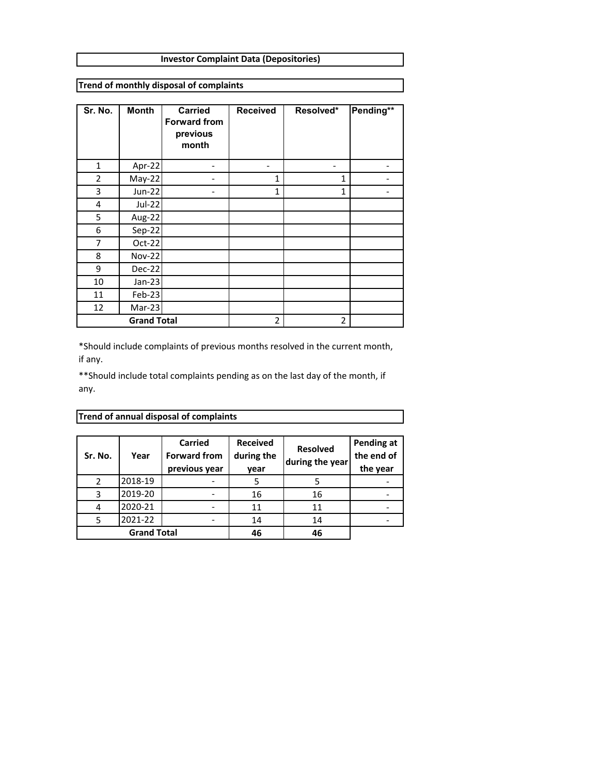#### **Investor Complaint Data (Depositories)**

**Trend of monthly disposal of complaints**

| Sr. No.        | <b>Month</b>       | <b>Carried</b><br><b>Forward from</b><br>previous<br>month | <b>Received</b> | Resolved*      | Pending** |
|----------------|--------------------|------------------------------------------------------------|-----------------|----------------|-----------|
| $\mathbf{1}$   | Apr-22             |                                                            |                 |                |           |
| $\overline{2}$ | May-22             |                                                            | $\mathbf{1}$    | 1              |           |
| 3              | <b>Jun-22</b>      |                                                            | $\mathbf{1}$    | $\mathbf{1}$   |           |
| 4              | <b>Jul-22</b>      |                                                            |                 |                |           |
| 5              | Aug-22             |                                                            |                 |                |           |
| 6              | Sep-22             |                                                            |                 |                |           |
| 7              | Oct-22             |                                                            |                 |                |           |
| 8              | <b>Nov-22</b>      |                                                            |                 |                |           |
| 9              | Dec-22             |                                                            |                 |                |           |
| 10             | $Jan-23$           |                                                            |                 |                |           |
| 11             | Feb-23             |                                                            |                 |                |           |
| 12             | Mar-23             |                                                            |                 |                |           |
|                | <b>Grand Total</b> |                                                            | 2               | $\overline{2}$ |           |

\*Should include complaints of previous months resolved in the current month, if any.

\*\*Should include total complaints pending as on the last day of the month, if any.

| Sr. No. | Year               | Carried<br><b>Forward from</b><br>previous year | <b>Received</b><br>during the<br>year | <b>Resolved</b><br>during the year | Pending at<br>the end of<br>the year |
|---------|--------------------|-------------------------------------------------|---------------------------------------|------------------------------------|--------------------------------------|
| 2       | 2018-19            |                                                 |                                       |                                    |                                      |
| 3       | 2019-20            |                                                 | 16                                    | 16                                 |                                      |
|         | 2020-21            |                                                 | 11                                    | 11                                 |                                      |
|         | 2021-22            |                                                 | 14                                    | 14                                 |                                      |
|         | <b>Grand Total</b> |                                                 | 46                                    | 46                                 |                                      |

# **Trend of annual disposal of complaints**